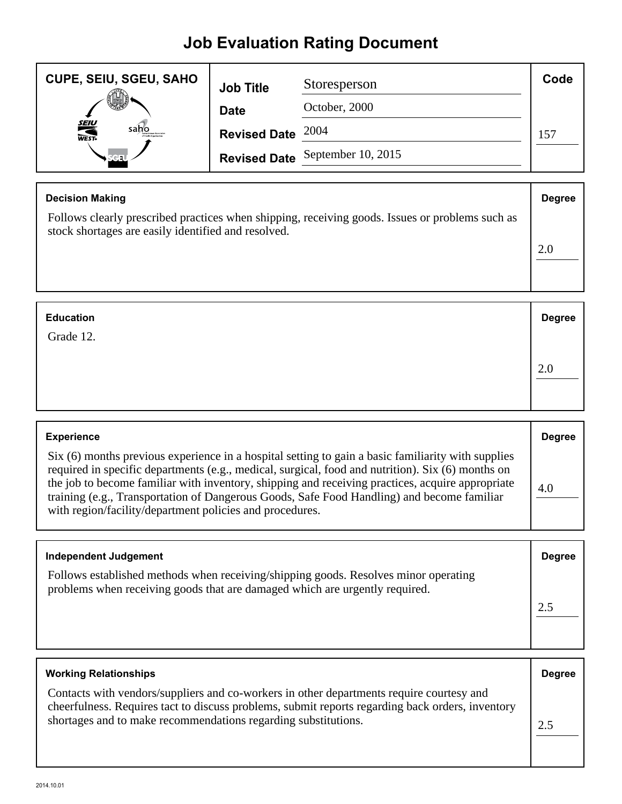## **Job Evaluation Rating Document**

| <b>CUPE, SEIU, SGEU, SAHO</b> | <b>Job Title</b>    | Storesperson                    | Code |
|-------------------------------|---------------------|---------------------------------|------|
| UI.                           | <b>Date</b>         | October, 2000                   |      |
| <b>SEIU</b><br>WEST-<br>saho  | Revised Date $2004$ |                                 | 157  |
| $ S$ CT $ $                   |                     | Revised Date September 10, 2015 |      |

| <b>Decision Making</b>                                                                                                                                 | <b>Degree</b> |
|--------------------------------------------------------------------------------------------------------------------------------------------------------|---------------|
| Follows clearly prescribed practices when shipping, receiving goods. Issues or problems such as<br>stock shortages are easily identified and resolved. |               |
|                                                                                                                                                        |               |
|                                                                                                                                                        |               |

| <b>Education</b> | <b>Degree</b> |
|------------------|---------------|
| Grade 12.        |               |
|                  | 2.0           |
|                  |               |

| <b>Experience</b>                                                                                                                                                                                                                                                                                                                                                                                                                                                     | <b>Degree</b> |
|-----------------------------------------------------------------------------------------------------------------------------------------------------------------------------------------------------------------------------------------------------------------------------------------------------------------------------------------------------------------------------------------------------------------------------------------------------------------------|---------------|
| Six (6) months previous experience in a hospital setting to gain a basic familiarity with supplies<br>required in specific departments (e.g., medical, surgical, food and nutrition). Six (6) months on<br>the job to become familiar with inventory, shipping and receiving practices, acquire appropriate<br>training (e.g., Transportation of Dangerous Goods, Safe Food Handling) and become familiar<br>with region/facility/department policies and procedures. | 4.0           |

| <b>Independent Judgement</b>                                                                                                                                       | <b>Degree</b> |
|--------------------------------------------------------------------------------------------------------------------------------------------------------------------|---------------|
| Follows established methods when receiving/shipping goods. Resolves minor operating<br>problems when receiving goods that are damaged which are urgently required. |               |
|                                                                                                                                                                    |               |
|                                                                                                                                                                    |               |

| <b>Working Relationships</b>                                                                                                                                                                                                                                   | <b>Degree</b> |
|----------------------------------------------------------------------------------------------------------------------------------------------------------------------------------------------------------------------------------------------------------------|---------------|
| Contacts with vendors/suppliers and co-workers in other departments require courtesy and<br>cheerfulness. Requires tact to discuss problems, submit reports regarding back orders, inventory<br>shortages and to make recommendations regarding substitutions. | 2.5           |